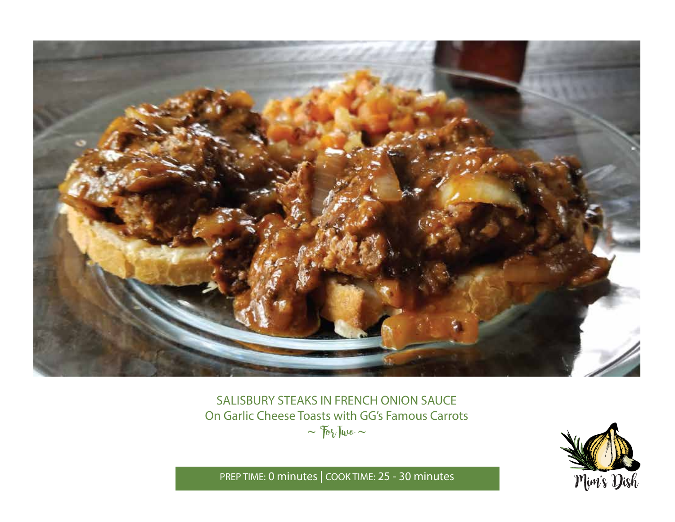

# SALISBURY STEAKS IN FRENCH ONION SAUCE On Garlic Cheese Toasts with GG's Famous Carrots  $\sim$   $70\sqrt{w}$   $\sim$



PREP TIME: **0 minutes** | COOK TIME: **25 - 30 minutes**